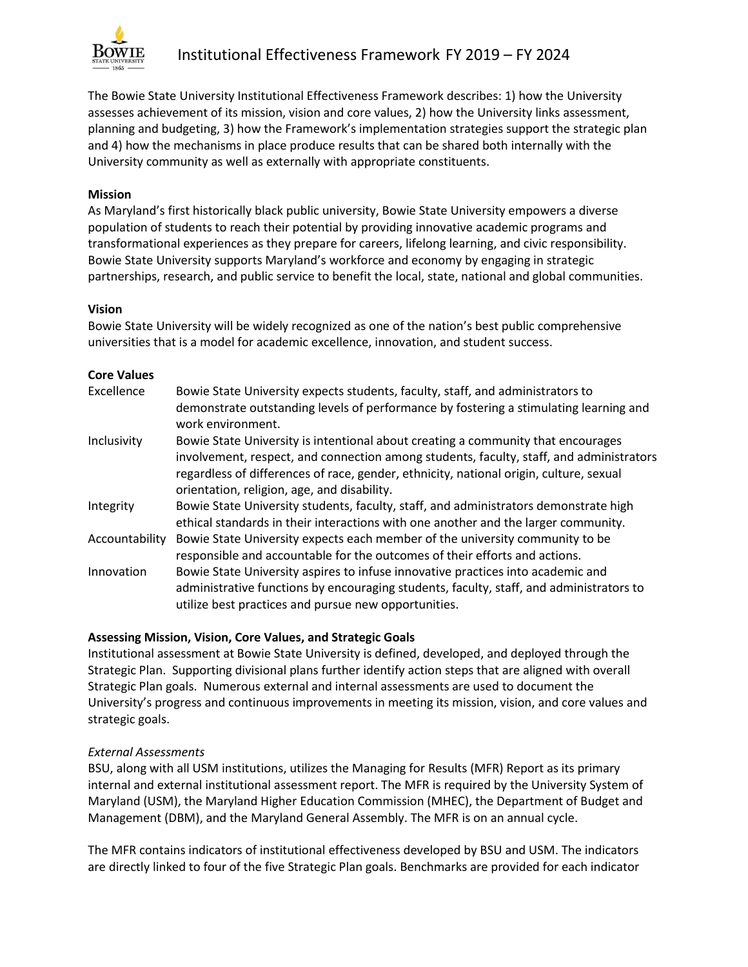

The Bowie State University Institutional Effectiveness Framework describes: 1) how the University assesses achievement of its mission, vision and core values, 2) how the University links assessment, planning and budgeting, 3) how the Framework's implementation strategies support the strategic plan and 4) how the mechanisms in place produce results that can be shared both internally with the University community as well as externally with appropriate constituents.

### **Mission**

As Maryland's first historically black public university, Bowie State University empowers a diverse population of students to reach their potential by providing innovative academic programs and transformational experiences as they prepare for careers, lifelong learning, and civic responsibility. Bowie State University supports Maryland's workforce and economy by engaging in strategic partnerships, research, and public service to benefit the local, state, national and global communities.

### **Vision**

Bowie State University will be widely recognized as one of the nation's best public comprehensive universities that is a model for academic excellence, innovation, and student success.

### **Core Values**

| Excellence     | Bowie State University expects students, faculty, staff, and administrators to<br>demonstrate outstanding levels of performance by fostering a stimulating learning and<br>work environment.                                                                                                                         |
|----------------|----------------------------------------------------------------------------------------------------------------------------------------------------------------------------------------------------------------------------------------------------------------------------------------------------------------------|
| Inclusivity    | Bowie State University is intentional about creating a community that encourages<br>involvement, respect, and connection among students, faculty, staff, and administrators<br>regardless of differences of race, gender, ethnicity, national origin, culture, sexual<br>orientation, religion, age, and disability. |
| Integrity      | Bowie State University students, faculty, staff, and administrators demonstrate high<br>ethical standards in their interactions with one another and the larger community.                                                                                                                                           |
| Accountability | Bowie State University expects each member of the university community to be<br>responsible and accountable for the outcomes of their efforts and actions.                                                                                                                                                           |
| Innovation     | Bowie State University aspires to infuse innovative practices into academic and<br>administrative functions by encouraging students, faculty, staff, and administrators to<br>utilize best practices and pursue new opportunities.                                                                                   |

### **Assessing Mission, Vision, Core Values, and Strategic Goals**

Institutional assessment at Bowie State University is defined, developed, and deployed through the Strategic Plan. Supporting divisional plans further identify action steps that are aligned with overall Strategic Plan goals. Numerous external and internal assessments are used to document the University's progress and continuous improvements in meeting its mission, vision, and core values and strategic goals.

### *External Assessments*

BSU, along with all USM institutions, utilizes the Managing for Results (MFR) Report as its primary internal and external institutional assessment report. The MFR is required by the University System of Maryland (USM), the Maryland Higher Education Commission (MHEC), the Department of Budget and Management (DBM), and the Maryland General Assembly. The MFR is on an annual cycle.

The MFR contains indicators of institutional effectiveness developed by BSU and USM. The indicators are directly linked to four of the five Strategic Plan goals. Benchmarks are provided for each indicator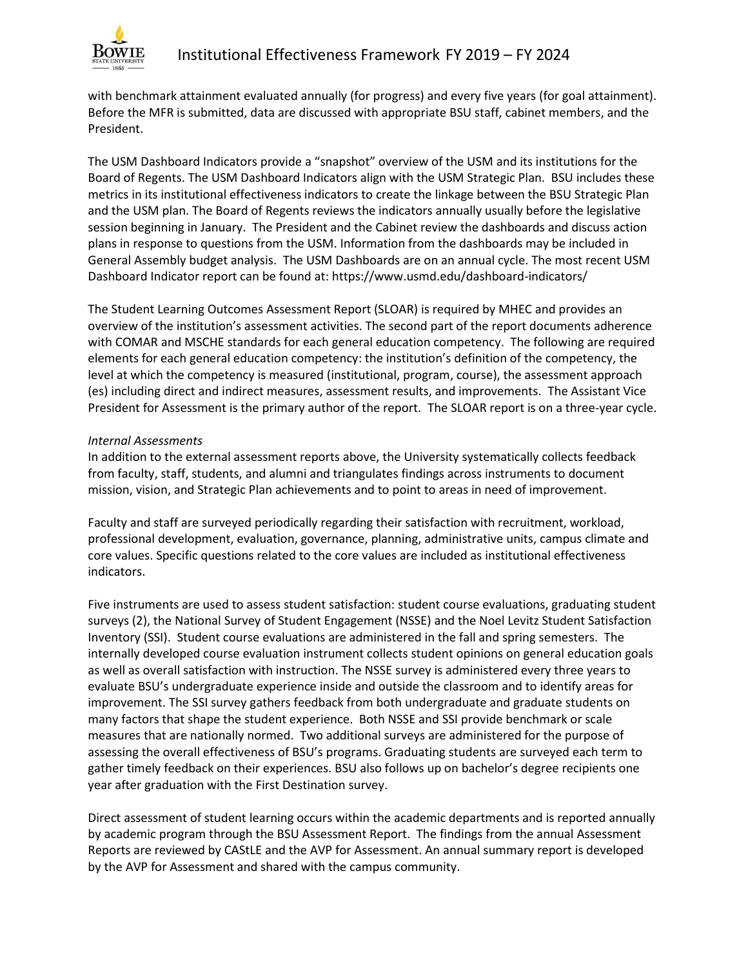

with benchmark attainment evaluated annually (for progress) and every five years (for goal attainment). Before the MFR is submitted, data are discussed with appropriate BSU staff, cabinet members, and the President.

The USM Dashboard Indicators provide a "snapshot" overview of the USM and its institutions for the Board of Regents. The USM Dashboard Indicators align with the USM Strategic Plan. BSU includes these metrics in its institutional effectiveness indicators to create the linkage between the BSU Strategic Plan and the USM plan. The Board of Regents reviews the indicators annually usually before the legislative session beginning in January. The President and the Cabinet review the dashboards and discuss action plans in response to questions from the USM. Information from the dashboards may be included in General Assembly budget analysis. The USM Dashboards are on an annual cycle. The most recent USM Dashboard Indicator report can be found at: https://www.usmd.edu/dashboard-indicators/

The Student Learning Outcomes Assessment Report (SLOAR) is required by MHEC and provides an overview of the institution's assessment activities. The second part of the report documents adherence with COMAR and MSCHE standards for each general education competency. The following are required elements for each general education competency: the institution's definition of the competency, the level at which the competency is measured (institutional, program, course), the assessment approach (es) including direct and indirect measures, assessment results, and improvements. The Assistant Vice President for Assessment is the primary author of the report. The SLOAR report is on a three-year cycle.

#### *Internal Assessments*

In addition to the external assessment reports above, the University systematically collects feedback from faculty, staff, students, and alumni and triangulates findings across instruments to document mission, vision, and Strategic Plan achievements and to point to areas in need of improvement.

Faculty and staff are surveyed periodically regarding their satisfaction with recruitment, workload, professional development, evaluation, governance, planning, administrative units, campus climate and core values. Specific questions related to the core values are included as institutional effectiveness indicators.

Five instruments are used to assess student satisfaction: student course evaluations, graduating student surveys (2), the National Survey of Student Engagement (NSSE) and the Noel Levitz Student Satisfaction Inventory (SSI). Student course evaluations are administered in the fall and spring semesters. The internally developed course evaluation instrument collects student opinions on general education goals as well as overall satisfaction with instruction. The NSSE survey is administered every three years to evaluate BSU's undergraduate experience inside and outside the classroom and to identify areas for improvement. The SSI survey gathers feedback from both undergraduate and graduate students on many factors that shape the student experience. Both NSSE and SSI provide benchmark or scale measures that are nationally normed. Two additional surveys are administered for the purpose of assessing the overall effectiveness of BSU's programs. Graduating students are surveyed each term to gather timely feedback on their experiences. BSU also follows up on bachelor's degree recipients one year after graduation with the First Destination survey.

Direct assessment of student learning occurs within the academic departments and is reported annually by academic program through the BSU Assessment Report. The findings from the annual Assessment Reports are reviewed by CAStLE and the AVP for Assessment. An annual summary report is developed by the AVP for Assessment and shared with the campus community.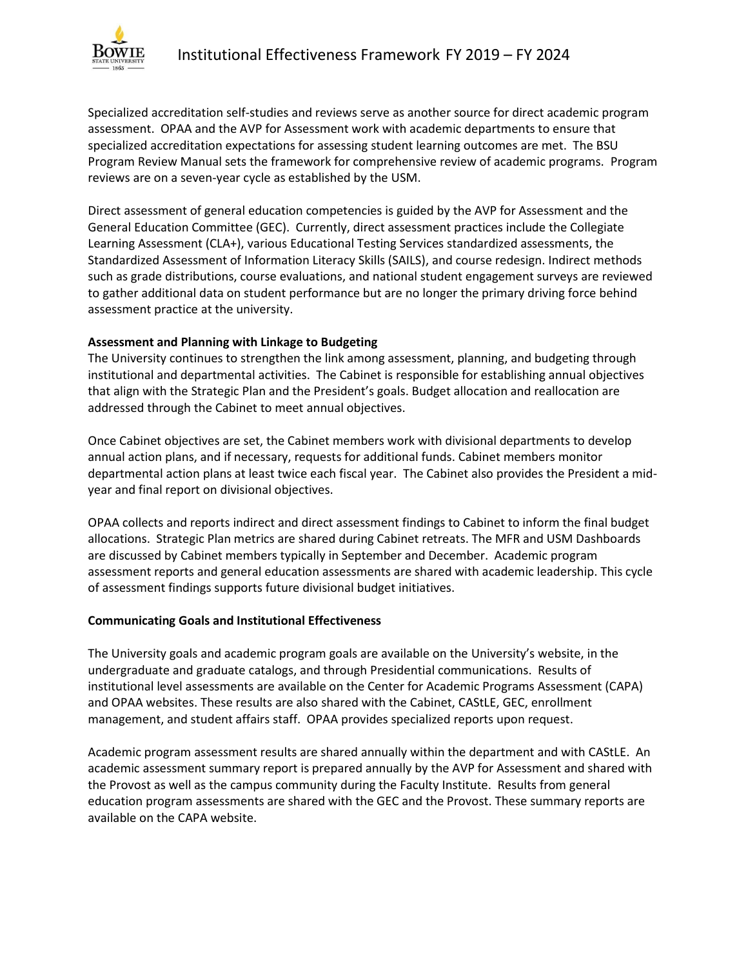

Specialized accreditation self-studies and reviews serve as another source for direct academic program assessment. OPAA and the AVP for Assessment work with academic departments to ensure that specialized accreditation expectations for assessing student learning outcomes are met. The BSU Program Review Manual sets the framework for comprehensive review of academic programs. Program reviews are on a seven-year cycle as established by the USM.

Direct assessment of general education competencies is guided by the AVP for Assessment and the General Education Committee (GEC). Currently, direct assessment practices include the Collegiate Learning Assessment (CLA+), various Educational Testing Services standardized assessments, the Standardized Assessment of Information Literacy Skills (SAILS), and course redesign. Indirect methods such as grade distributions, course evaluations, and national student engagement surveys are reviewed to gather additional data on student performance but are no longer the primary driving force behind assessment practice at the university.

# **Assessment and Planning with Linkage to Budgeting**

The University continues to strengthen the link among assessment, planning, and budgeting through institutional and departmental activities. The Cabinet is responsible for establishing annual objectives that align with the Strategic Plan and the President's goals. Budget allocation and reallocation are addressed through the Cabinet to meet annual objectives.

Once Cabinet objectives are set, the Cabinet members work with divisional departments to develop annual action plans, and if necessary, requests for additional funds. Cabinet members monitor departmental action plans at least twice each fiscal year. The Cabinet also provides the President a midyear and final report on divisional objectives.

OPAA collects and reports indirect and direct assessment findings to Cabinet to inform the final budget allocations. Strategic Plan metrics are shared during Cabinet retreats. The MFR and USM Dashboards are discussed by Cabinet members typically in September and December. Academic program assessment reports and general education assessments are shared with academic leadership. This cycle of assessment findings supports future divisional budget initiatives.

### **Communicating Goals and Institutional Effectiveness**

The University goals and academic program goals are available on the University's website, in the undergraduate and graduate catalogs, and through Presidential communications. Results of institutional level assessments are available on the Center for Academic Programs Assessment (CAPA) and OPAA websites. These results are also shared with the Cabinet, CAStLE, GEC, enrollment management, and student affairs staff. OPAA provides specialized reports upon request.

Academic program assessment results are shared annually within the department and with CAStLE. An academic assessment summary report is prepared annually by the AVP for Assessment and shared with the Provost as well as the campus community during the Faculty Institute. Results from general education program assessments are shared with the GEC and the Provost. These summary reports are available on the CAPA website.